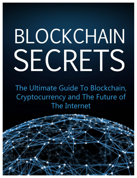# BLOCKCHAIN SECRETS

The Ultimate Guide To Blockchain, Cryptocurrency and The Future of The Internet

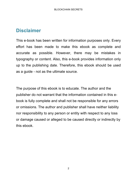## **Disclaimer**

This e-book has been written for information purposes only. Every effort has been made to make this ebook as complete and accurate as possible. However, there may be mistakes in typography or content. Also, this e-book provides information only up to the publishing date. Therefore, this ebook should be used as a guide - not as the ultimate source.

The purpose of this ebook is to educate. The author and the publisher do not warrant that the information contained in this ebook is fully complete and shall not be responsible for any errors or omissions. The author and publisher shall have neither liability nor responsibility to any person or entity with respect to any loss or damage caused or alleged to be caused directly or indirectly by this ebook.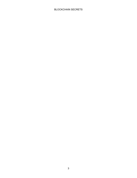#### BLOCKCHAIN SECRETS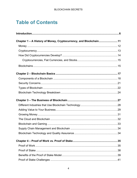## **Table of Contents**

| Chapter 1 - A History of Money, Cryptocurrency, and Blockchain11 |  |
|------------------------------------------------------------------|--|
|                                                                  |  |
|                                                                  |  |
|                                                                  |  |
|                                                                  |  |
|                                                                  |  |
|                                                                  |  |
|                                                                  |  |
|                                                                  |  |
|                                                                  |  |
|                                                                  |  |
|                                                                  |  |
|                                                                  |  |
|                                                                  |  |
|                                                                  |  |
|                                                                  |  |
|                                                                  |  |
|                                                                  |  |
|                                                                  |  |
|                                                                  |  |
|                                                                  |  |
|                                                                  |  |
|                                                                  |  |
|                                                                  |  |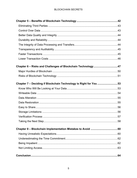| Chapter 6 – Risks and Challenges of Blockchain Technology47       |  |
|-------------------------------------------------------------------|--|
|                                                                   |  |
|                                                                   |  |
| Chapter 7 - Deciding if Blockchain Technology is Right for You 53 |  |
|                                                                   |  |
|                                                                   |  |
|                                                                   |  |
|                                                                   |  |
|                                                                   |  |
|                                                                   |  |
|                                                                   |  |
|                                                                   |  |
|                                                                   |  |
|                                                                   |  |
|                                                                   |  |
|                                                                   |  |
|                                                                   |  |
|                                                                   |  |
|                                                                   |  |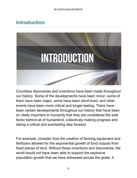## **Introduction**



Countless discoveries and inventions have been made throughout our history. Some of the developments have been minor, some of them have been major, some have been short-lived, and other events have been more critical and longer-lasting. There have been certain developments throughout our history that have been so vitally important to humanity that they are considered the sole factor behind all of humankind, collectively making progress and taking a critical and everlasting step forward.

For example, consider how the creation of farming equipment and fertilizers allowed for the exponential growth of food outputs from fixed pieces of land. Without these inventions and discoveries, the world would not have been able to support the explosive population growth that we have witnessed across the globe. It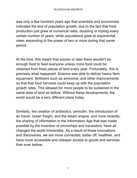was only a few hundred years ago that scientists and economists indicated the end of population growth, due to the fact that food production just grew at numerical rates, doubling or tripling every certain number of years, while populations grew at exponential rates, expanding to the power of two or more during that same period.

At the time, this meant that sooner or later there wouldn't be enough food to feed everyone unless more food could be obtained from fixed pieces of land every year. Fortunately, this is precisely what happened. Science was able to deliver heavy farm equipment, fertilizers such as ammonia, and other improvements so that that food harvests could keep up with the population growth rates. This allowed for more people to be sustained in the same area of land as before. Without these developments, the world would be a very different place today.

Similarly, the creation of antibiotics, penicillin, the introduction of air travel, ocean freight, and the steam engine, and more recently, the sharing of information in the Information Age that was made possible by the invention of microchips and transistors, have all changed the world irreversibly. As a result of these innovations and discoveries, we are more connected, better off, healthier, and have more accessible and cheaper access to goods and services than ever before.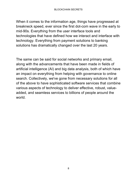When it comes to the information age, things have progressed at breakneck speed, ever since the first dot-com wave in the early to mid-90s. Everything from the user interface tools and technologies that have defined how we interact and interface with technology. Everything from payment solutions to banking solutions has dramatically changed over the last 20 years.

The same can be said for social networks and primary email, along with the advancements that have been made in fields of artificial intelligence (AI) and big data analysis, both of which have an impact on everything from helping with governance to online search. Collectively, we've gone from necessary solutions for all of the above to have sophisticated software services that combine various aspects of technology to deliver effective, robust, valueadded, and seamless services to billions of people around the world.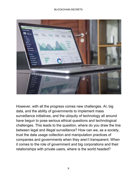#### BLOCKCHAIN SECRETS



However, with all the progress comes new challenges. AI, big data, and the ability of governments to implement mass surveillance initiatives, and the ubiquity of technology all around have begun to pose serious ethical questions and technological challenges. This leads to the question, where do you draw the line between legal and illegal surveillance? How can we, as a society, trust the data usage collection and manipulation practices of companies and governments when they aren't transparent. When it comes to the role of government and big corporations and their relationships with private users, where is the world headed?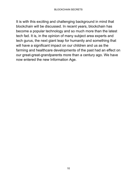It is with this exciting and challenging background in mind that blockchain will be discussed. In recent years, blockchain has become a popular technology and so much more than the latest tech fad. It is, in the opinion of many subject area experts and tech gurus, the next giant leap for humanity and something that will have a significant impact on our children and us as the farming and healthcare developments of the past had an effect on our great-great-grandparents more than a century ago. We have now entered the new Information Age.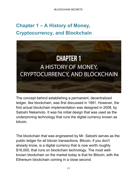## **Chapter 1 – A History of Money, Cryptocurrency, and Blockchain**



The concept behind establishing a permanent, decentralized ledger, like blockchain, was first discussed in 1991. However, the first actual blockchain implementation was designed in 2008, by Satoshi Nakamoto. It was his initial design that was used as the underpinning technology that runs the digital currency known as bitcoin.

The blockchain that was engineered by Mr. Satoshi serves as the public ledger for all bitcoin transactions. Bitcoin, if you don't already know, is a digital currency that is now worth roughly \$16,000, that runs on blockchain technology. The most wellknown blockchain on the market today is that for Bitcoin, with the Ethereum blockchain coming in a close second.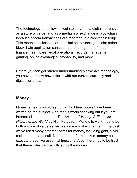The technology that allows bitcoin to serve as a digital currency, as a store of value, and as a medium of exchange is blockchain because bitcoin transactions are recorded in a blockchain ledge. This means blockchains are not limited to running bitcoin; rather blockchain application can span the entire gamut of trade, finance, healthcare, legal operations, records management, gaming, online exchanges, probability, and more.

Before you can get started understanding blockchain technology, you have to know how it fits in with our current currency and digital currency.

#### **Money**

Money is nearly as old as humanity. Many books have been written on the subject. One that is worth checking out if you are interested in the matter is *The Ascent of Money: A Financial History of the World* by Niall Ferguson. Money, to work, has to be both a store of value as well as a means of exchange. In the past, we've used many different items for money, including gold, silver, cattle, beads, and salt. No matter the form it takes, money has to execute these two essential functions. Also, there has to be trust that these roles can be fulfilled by the money.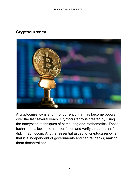#### **Cryptocurrency**



A cryptocurrency is a form of currency that has become popular over the last several years. Cryptocurrency is created by using the encryption techniques of computing and mathematics. These techniques allow us to transfer funds and verify that the transfer did, in fact, occur. Another essential aspect of cryptocurrency is that it is independent of governments and central banks, making them decentralized.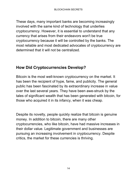These days, many important banks are becoming increasingly involved with the same kind of technology that underlies cryptocurrency. However, it is essential to understand that any currency that arises from their endeavors won't be true cryptocurrency because it will be controlled by the banks. The most reliable and most dedicated advocates of cryptocurrency are determined that it will not be centralized.

#### **How Did Cryptocurrencies Develop?**

Bitcoin is the most well-known cryptocurrency on the market. It has been the recipient of hype, fame, and publicity. The general public has been fascinated by its extraordinary increase in value over the last several years. They have been awe-struck by the tales of significant wealth that has been generated with bitcoin, for those who acquired it in its infancy, when it was cheap.

Despite its novelty, people quickly realize that bitcoin is genuine money. In addition to bitcoin, there are many other cryptocurrencies, who like bitcoin, have had massive increases in their dollar value. Legitimate government and businesses are pursuing an increasing involvement in cryptocurrency. Despite critics, the market for these currencies is thriving.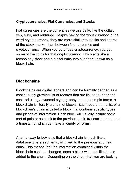#### **Cryptocurrencies, Fiat Currencies, and Stocks**

Fiat currencies are the currencies we use daily, like the dollar, yen, euro, and renminbi. Despite having the word currency in the word cryptocurrency, they are more similar to stocks and shares of the stock market than between fiat currencies and cryptocurrency. When you purchase cryptocurrency, you get some of the coins for that cryptocurrency, which acts like a technology stock and a digital entry into a ledger, known as a blockchain.

#### **Blockchains**

Blockchains are digital ledgers and can be formally defined as a continuously-growing list of records that are linked tougher and secured using advanced cryptography. In more simple terms, a blockchain is literally a chain of blocks. Each record in the list of a blockchain's chain is called a block that contains specific types and pieces of information. Each block will usually include some sort of pointer as a link to the previous bock, transaction data, and a timestamp, which can take a variety of forms.

Another way to look at is that a blockchain is much like a database where each entry is linked to the previous and next entry. This means that the information contained within the blockchain can't be changed, once a block with specific data is added to the chain. Depending on the chain that you are looking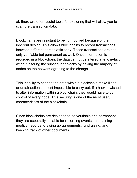at, there are often useful tools for exploring that will allow you to scan the transaction data.

Blockchains are resistant to being modified because of their inherent design. This allows blockchains to record transactions between different parties efficiently. These transactions are not only verifiable but permanent as well. Once information is recorded in a blockchain, the data cannot be altered after-the-fact without altering the subsequent blocks by having the majority of nodes on the network agreeing to the change.

This inability to change the data within a blockchain make illegal or unfair actions almost impossible to carry out. If a hacker wished to alter information within a blockchain, they would have to gain control of every node. This security is one of the most useful characteristics of the blockchain.

Since blockchains are designed to be verifiable and permanent, they are especially suitable for recording events, maintaining medical records, drawing up agreements, fundraising, and keeping track of other documents.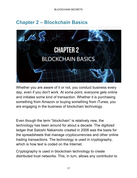## **Chapter 2 – Blockchain Basics**



Whether you are aware of it or not, you conduct business every day, even if you don't work. At some point, everyone gets online and initiates some kind of transaction. Whether it is purchasing something from Amazon or buying something from iTunes, you are engaging in the business of blockchain technology.

Even though the term "blockchain" is relatively new, the technology has been around for about a decade. The digitized ledger that Satoshi Nakamoto created in 2008 was the basis for the spreadsheets that manage cryptocurrencies and other online trading transactions. The technology is used in cryptography, which is how text is coded on the Internet.

Cryptography is used in blockchain technology to create distributed trust networks. This, in turn, allows any contributor to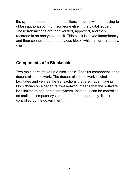the system to operate the transactions securely without having to obtain authorization from someone else in the digital ledger. These transactions are then verified, approved, and then recorded in an encrypted block. This block is saved intermittently and then connected to the previous block, which in turn creates a chain.

#### **Components of a Blockchain**

Two main parts make up a blockchain. The first component is the decentralized network. The decentralized network is what facilitates and verifies the transactions that are made. Having blockchains on a decentralized network means that the software isn't limited to one computer system. Instead, it can be controlled on multiple computer systems, and more importantly, it isn't controlled by the government.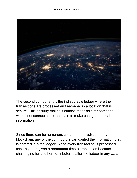

The second component is the indisputable ledger where the transactions are processed and recorded in a location that is secure. This security makes it almost impossible for someone who is not connected to the chain to make changes or steal information.

Since there can be numerous contributors involved in any blockchain, any of the contributors can control the information that is entered into the ledger. Since every transaction is processed securely, and given a permanent time-stamp, it can become challenging for another contributor to alter the ledger in any way.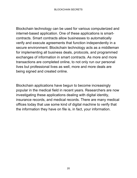Blockchain technology can be used for various computerized and internet-based application. One of these applications is smartcontracts. Smart contracts allow businesses to automatically verify and execute agreements that function independently in a secure environment. Blockchain technology acts as a middleman for implementing all business deals, protocols, and programmed exchanges of information in smart contracts. As more and more transactions are completed online, to not only run our personal lives but professional lives as well, more and more deals are being signed and created online.

Blockchain applications have begun to become increasingly popular in the medical field in recent years. Researchers are now investigating these applications dealing with digital identity, insurance records, and medical records. There are many medical offices today that use some kind of digital machine to verify that the information they have on file is, in fact, your information.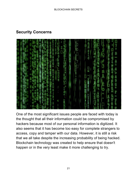#### **Security Concerns**



One of the most significant issues people are faced with today is the thought that all their information could be compromised by hackers because most of our personal information is digitized. It also seems that it has become too easy for complete strangers to access, copy and tamper with our data. However, it is still a risk that we all take despite the increasing probability of being hacked. Blockchain technology was created to help ensure that doesn't happen or in the very least make it more challenging to try.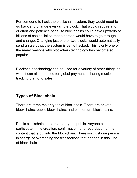For someone to hack the blockchain system, they would need to go back and change every single block. That would require a ton of effort and patience because blockchains could have upwards of billions of chains linked that a person would have to go through and change. Changing just one or two blocks would automatically send an alert that the system is being hacked. This is only one of the many reasons why blockchain technology has become so popular.

Blockchain technology can be used for a variety of other things as well. It can also be used for global payments, sharing music, or tracking diamond sales.

## **Types of Blockchain**

There are three major types of blockchain. There are private blockchains, public blockchains, and consortium blockchains.

Public blockchains are created by the public. Anyone can participate in the creation, confirmation, and recordation of the content that is put into the blockchain. There isn't just one person in charge of overseeing the transactions that happen in this kind of blockchain.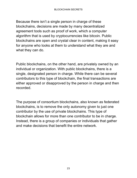Because there isn't a single person in charge of these blockchains, decisions are made by many decentralized agreement tools such as proof of work, which a computer algorithm that is used by cryptocurrencies like bitcoin. Public blockchains are open and crystal clear in content, making it easy for anyone who looks at them to understand what they are and what they can do.

Public blockchains, on the other hand, are privately owned by an individual or organization. With public blockchains, there is a single, designated person in charge. While there can be several contributors to this type of blockchain, the final transactions are either approved or disapproved by the person in charge and then recorded.

The purpose of consortium blockchains, also known as federated blockchains, is to remove the only autonomy given to just one contributor by the use of private blockchains. This type of blockchain allows for more than one contributor to be in charge. Instead, there is a group of companies or individuals that gather and make decisions that benefit the entire network.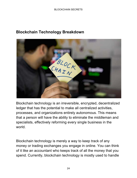#### **Blockchain Technology Breakdown**



Blockchain technology is an irreversible, encrypted, decentralized ledger that has the potential to make all centralized activities, processes, and organizations entirely autonomous. This means that a person will have the ability to eliminate the middleman and specialists, effectively reforming every single business in the world.

Blockchain technology is merely a way to keep track of any money or trading exchanges you engage in online. You can think of it like an accountant who keeps track of all the money that you spend. Currently, blockchain technology is mostly used to handle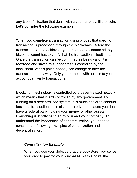any type of situation that deals with cryptocurrency, like bitcoin. Let's consider the following example.

When you complete a transaction using bitcoin, that specific transaction is processed through the blockchain. Before the transaction can be achieved, you or someone connected to your bitcoin account has to verify that the transaction is legitimate. Once the transaction can be confirmed as being valid, it is recorded and saved to a ledger that is controlled by the blockchain. At this point, nobody can change or alter the transaction in any way. Only you or those with access to your account can verify transactions.

Blockchain technology is controlled by a decentralized network, which means that it isn't controlled by any government. By running on a decentralized system, it is much easier to conduct business transactions. It is also more private because you don't have a federal bank holding your money or other assets. Everything is strictly handled by you and your company. To understand the importance of decentralization, you need to consider the following examples of centralization and decentralization.

#### *Centralization Example*

When you use your debit card at the bookstore, you swipe your card to pay for your purchases. At this point, the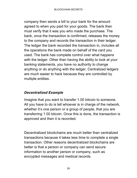company then sends a bill to your bank for the amount agreed to when you paid for your goods. The bank then must verify that it was you who made the purchase. The bank, once the transaction is confirmed, releases the money to the company and records the transaction in their ledger. The ledger the bank recorded the transaction in, includes all the operations the bank made on behalf of the card you used. The bank has complete control over what happens with the ledger. Other than having the ability to look at your banking statements, you have no authority to change anything or do anything with the ledger. Centralized ledgers are much easier to hack because they are controlled by multiple entities.

#### *Decentralized Example*

Imagine that you want to transfer 1.00 bitcoin to someone. All you have to do is tell whoever is in charge of the network, whether it's one person or a group of people, that you are transferring 1.00 bitcoin. Once this is done, the transaction is approved and then it is recorded.

Decentralized blockchains are much better than centralized transactions because it takes less time to complete a single transaction. Other reasons decentralized blockchains are better is that a person or company can send secure information to another person or company, such as encrypted messages and medical records.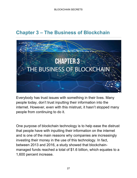## **Chapter 3 – The Business of Blockchain**



Everybody has trust issues with something in their lives. Many people today, don't trust inputting their information into the internet. However, even with this mistrust, it hasn't stopped many people from continuing to do it.

One purpose of blockchain technology is to help ease the distrust that people have with inputting their information on the internet and is one of the main reasons why companies are increasingly investing their money in the use of this technology. In fact, between 2013 and 2016, a study showed that blockchainmanaged funds reached a total of \$1.6 billion, which equates to a 1,600 percent increase.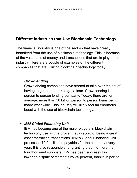#### **Different Industries that Use Blockchain Technology**

The financial industry is one of the sectors that have greatly benefitted from the use of blockchain technology. This is because of the vast sums of money and transactions that are in play in the industry. Here are a couple of examples of the different companies that are utilizing blockchain technology today.

#### • *Crowdlending*

Crowdlending campaigns have started to take over the act of having to go to the bank to get a loan. Crowdlending is a person to person lending company. Today, there are, on average, more than 50 billion person to person loans being made worldwide. This industry will likely feel an enormous boost with the use of blockchain technology.

#### • *IBM Global Financing Unit*

IBM has become one of the major players in blockchain technology use, with a proven track record of being a great asset for tracing transactions. IBM's Global Financing Unit processes \$2.9 million in payables for the company every year. It is also responsible for granting credit to more than four thousand suppliers. IBM has been successful in lowering dispute settlements by 25 percent, thanks in part to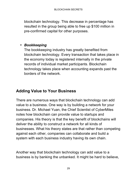blockchain technology. This decrease in percentage has resulted in the group being able to free up \$100 million in pre-confirmed capital for other purposes.

#### • *Bookkeeping*

The bookkeeping industry has greatly benefited from blockchain technology. Every transaction that takes place in the economy today is registered internally in the private records of individual market participants. Blockchain technology takes place when accounting expands past the borders of the network.

#### **Adding Value to Your Business**

There are numerous ways that blockchain technology can add value to a business. One way is by building a network for your business. Dr. Michael Yuan, the Chief Scientist of CyberMiles notes how blockchain can provide value to startups and companies. His theory is that the key benefit of blockchains will deliver the ability to construct a network for all kinds of businesses. What his theory states are that rather than competing against each other, companies can collaborate and build a system with each business industry having its own chain.

Another way that blockchain technology can add value to a business is by banking the unbanked. It might be hard to believe,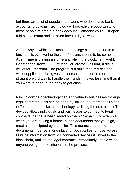but there are a lot of people in the world who don't have bank accounts. Blockchain technology will provide the opportunity for these people to create a bank account. Someone could just open a bitcoin account and in return have a digital wallet.

A third way in which blockchain technology can add value to a business is by lowering the time for transactions to be complete. Again, time is playing a significant role in the blockchain world. Christopher Brown, CEO of Modular, create Blossom, a digital wallet for Ethereum. The program is a multi-featured desktop wallet application that gives businesses and users a more straightforward way to handle their funds. It takes less time than if you were to head to the bank to get cash.

Next, blockchain technology can add value to businesses through legal contracts. This can be done by linking the Internet of Things (IoT) data and blockchain technology. Utilizing the data from IoT devices allows individuals and businesses to connect to legal contracts that have been saved on the blockchain. For example, when you are buying a house, all the documents that you sign, must also be signed by the seller. This means that all the documents must be in one place for both parties to have access. Outside information from IoT connected devices is linked to the blockchain, making the legal contracts immediately usable without anyone being able to interfere in the process.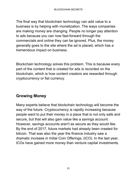The final way that blockchain technology can add value to a business is by helping with monetization. The ways companies are making money are changing. People no longer pay attention to ads because you can now fast-forward through the commercials and online they can be ignored. Plus, the money generally goes to the site where the ad is placed, which has a tremendous impact on business.

Blockchain technology solves this problem. This is because every part of the content that is created for ads is recorded on the blockchain, which is how content creators are rewarded through cryptocurrency or fiat currency.

#### **Growing Money**

Many experts believe that blockchain technology will become the way of the future. Cryptocurrency is rapidly increasing because people want to put their money in a place that is not only safe and secure, but that will also gain value like a savings account. However, savings accounts aren't as secure as they would like. By the end of 2017, future markets had already been created for bitcoin. That was also the year the finance industry saw a dramatic increase in Initial Coin Offerings, (ICO). In the last year, ICOs have gained more money than venture capital investments.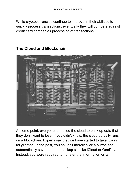While cryptocurrencies continue to improve in their abilities to quickly process transactions, eventually they will compete against credit card companies processing of transactions.



#### **The Cloud and Blockchain**

At some point, everyone has used the cloud to back up data that they don't want to lose. If you didn't know, the cloud actually runs on a blockchain. Experts say that we have started to take luxury for granted. In the past, you couldn't merely click a button and automatically save data to a backup site like iCloud or OneDrive. Instead, you were required to transfer the information on a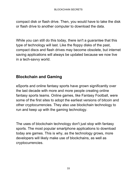compact disk or flash drive. Then, you would have to take the disk or flash drive to another computer to download the data.

While you can still do this today, there isn't a guarantee that this type of technology will last. Like the floppy disks of the past, compact discs and flash drives may become obsolete, but internet saving applications will always be updated because we now live in a tech-savvy world.

#### **Blockchain and Gaming**

eSports and online fantasy sports have grown significantly over the last decade with more and more people creating online fantasy sports teams. Online games, like Fantasy Football, were some of the first sites to adopt the earliest versions of bitcoin and other cryptocurrencies. They also use blockchain technology to run and keep up with the gaming technology.

The uses of blockchain technology don't just stop with fantasy sports. The most popular smartphone applications to download today are games. This is why, as the technology grows, more developers will likely make use of blockchains, as well as cryptocurrencies.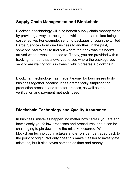#### **Supply Chain Management and Blockchain**

Blockchain technology will also benefit supply chain management by providing a way to trace goods while at the same time being cost effective. For example, sending packages through the United Parcel Services from one business to another. In the past, someone had to call to find out where their box was if it hadn't arrived when it was supposed to. Today, you are provided with a tracking number that allows you to see where the package you sent or are waiting for is in transit, which creates a blockchain.

Blockchain technology has made it easier for businesses to do business together because it has dramatically simplified the production process, and transfer process, as well as the verification and payment methods, used.

#### **Blockchain Technology and Quality Assurance**

In business, mistakes happen, no matter how careful you are and how closely you follow processes and procedures, and it can be challenging to pin down how the mistake occurred. With blockchain technology, mistakes and errors can be traced back to the point of origin. Not only does this make it easier to investigate mistakes, but it also saves companies time and money.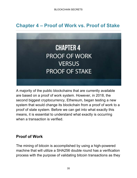## **Chapter 4 – Proof of Work vs. Proof of Stake**



A majority of the public blockchains that are currently available are based on a proof of work system. However, in 2018, the second biggest cryptocurrency, Ethereum, began testing a new system that would change its blockchain from a proof of work to a proof of state system. Before we can get into what exactly this means, it is essential to understand what exactly is occurring when a transaction is verified.

#### **Proof of Work**

The mining of bitcoin is accomplished by using a high-powered machine that will utilize a SHA256 double round has a verification process with the purpose of validating bitcoin transactions as they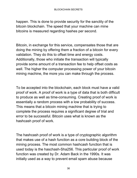happen. This is done to provide security for the sanctity of the bitcoin blockchain. The speed that your machine can mine bitcoins is measured regarding hashes per second.

Bitcoin, in exchange for this service, compensates those that are doing the mining by offering them a fraction of a bitcoin for every validation. They do this to offset time and energy costs. Additionally, those who initiate the transaction will typically provide some amount of a transaction fee to help offset costs as well. The higher the computer processing power of your bitcoin mining machine, the more you can make through the process.

To be accepted into the blockchain, each block must have a valid proof of work. A proof of work is a type of data that is both difficult to produce as well as time-consuming. Creating proof of work is essentially a random process with a low probability of success. This means that a bitcoin mining machine that is trying to complete the process requires a significant degree of trial and error to be successful. Bitcoin uses what is known as the hashcash proof of work.

The hashcash proof of work is a type of cryptographic algorithm that makes use of a hash function as a core building block of the mining process. The most common hashcash function that is used today is the haschash-Sha256. This particular proof of work function was created by Dr. Adam Back in the 1990s. It was initially used as a way to prevent email spam abuse because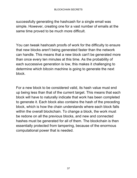successfully generating the hashcash for a single email was simple. However, creating one for a vast number of emails at the same time proved to be much more difficult.

You can tweak hashcash proofs of work for the difficulty to ensure that new blocks aren't being generated faster than the network can handle. This means that a new block can't be generated more than once every ten minutes at this time. As the probability of each successive generation is low, this makes it challenging to determine which bitcoin machine is going to generate the next block.

For a new block to be considered valid, its hash value must end up being less than that of the current target. This means that each block will have to naturally indicate that work has been completed to generate it. Each block also contains the hash of the preceding block, which is how the chain understands where each block falls within the overall blockchain. To change a block, the work must be redone on all the previous blocks, and new and connected hashes must be generated for all of them. The blockchain is then essentially protected from tampering, because of the enormous computational power that is needed.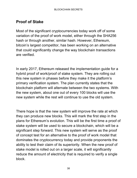#### **Proof of Stake**

Most of the significant cryptocurrencies today work off of some variation of the proof of work model, either through the SHA256 hash or through another, similar hash. However, Ethereum, bitcoin's largest competitor, has been working on an alternative that could significantly change the way blockchain transactions are verified.

In early 2017, Ethereum released the implementation guide for a hybrid proof of work/proof of stake system. They are rolling out this new system in phases before they make it the platform's primary verification system. The plan currently states that the blockchain platform will alternate between the two systems. With the new system, about one out of every 100 blocks will use the new system while the rest will continue to use the old system.

There hope is that the new system will improve the rate at which they can produce new blocks. This will mark the first step in the plans for Ethereum's evolution. This will be the first time a proof of stake system will be used to secure a blockchain, which will be a significant step forward. This new system will serve as the proof of concept test for an alternative to the proof of work model that dominates the cryptocurrency today and provide proponents the ability to test their claim of its superiority. When the new proof of stake model is rolled out on a larger scale, it will significantly reduce the amount of electricity that is required to verify a single block.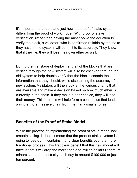It's important to understand just how the proof of stake system differs from the proof of work model. With proof of stake verification, rather than having the miner solve the equation to verify the block, a validator, who is confirmed reliable by the stake they have in the system, will commit to its accuracy. They know that if they lie, they will lose their own ether as well.

During the first stage of deployment, all of the blocks that are verified through the new system will also be checked through the old system to help double verify that the blocks contain the information that they should, while also testing the accuracy of the new system. Validators will then look at the various chains that are available and make a decision based on how much ether is currently in the chain. If they make a poor choice, they will lose their money. This process will help form a consensus that leads to a single more massive chain from the many smaller ones.

#### **Benefits of the Proof of Stake Model**

While the process of implementing the proof of stake model isn't smooth sailing, it doesn't mean that the proof of stake system is going to lose out. It contains many clear benefits over the more traditional process. This first clear benefit that this new model will have is that it will drop the more than one million dollars Ethereum miners spend on electricity each day to around \$100,000 or just ten percent.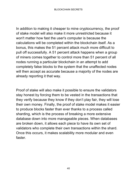In addition to making it cheaper to mine cryptocurrency, the proof of stake model will also make it more unrestricted because it won't matter how fast the user's computer is because the calculations will be completed within the blockchain itself. As a bonus, this makes the 51 percent attack much more difficult to pull off successfully. A 51 percent attack happens when a group of miners comes together to control more than 51 percent of all nodes running a particular blockchain in an attempt to add completely false blocks to the system that the unaffected nodes will then accept as accurate because a majority of the nodes are already reporting it that way.

Proof of stake will also make it possible to ensure the validators stay honest by forcing them to be vested in the transactions that they verify because they know if they don't play fair, they will lose their own money. Finally, the proof of stake model makes it easier to produce blocks faster than ever thanks to a process called sharding, which is the process of breaking a more extensive database down into more manageable pieces. When databases are broken down, it allows each piece to have its own set of validators who complete their own transactions within the shard. Once this occurs, it makes scalability more modular and even faster.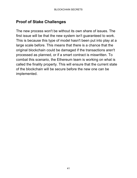#### **Proof of Stake Challenges**

The new process won't be without its own share of issues. The first issue will be that the new system isn't guaranteed to work. This is because this type of model hasn't been put into play at a large scale before. This means that there is a chance that the original blockchain could be damaged if the transactions aren't processed as planned, or if a smart contract is miswritten. To combat this scenario, the Ethereum team is working on what is called the finality property. This will ensure that the current state of the blockchain will be secure before the new one can be implemented.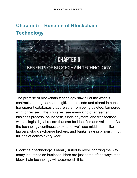# **Chapter 5 – Benefits of Blockchain Technology**



The promise of blockchain technology saw all of the world's contracts and agreements digitized into code and stored in public, transparent databases that are safe from being deleted, tampered with, or revised. The future will see every kind of agreement, business process, online task, funds payment, and transactions with a single digital record that can be identified and validated. As the technology continues to expand, we'll see middlemen, like lawyers, stock exchange brokers, and banks, saving billions, if not trillions of dollars every year.

Blockchain technology is ideally suited to revolutionizing the way many industries do business. Here are just some of the ways that blockchain technology will accomplish this.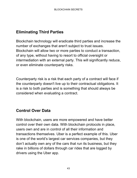#### **Eliminating Third Parties**

Blockchain technology will eradicate third parties and increase the number of exchanges that aren't subject to trust issues. Blockchain will allow two or more parties to conduct a transaction, of any type, without having to resort to official oversight or intermediation with an external party. This will significantly reduce, or even eliminate counterparty risks.

Counterparty risk is a risk that each party of a contract will face if the counterparty doesn't live up to their contractual obligations. It is a risk to both parties and is something that should always be considered when evaluating a contract.

#### **Control Over Data**

With blockchain, users are more empowered and have better control over their own data. With blockchain protocols in place, users own and are in control of all their information and transactions themselves. Uber is a perfect example of this. Uber is one of the world's largest car services companies, but they don't actually own any of the cars that run its business, but they rake in billions of dollars through car rides that are logged by drivers using the Uber app.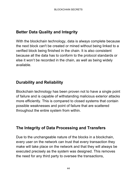#### **Better Data Quality and Integrity**

With the blockchain technology, data is always complete because the next block can't be created or mined without being linked to a verified block being finished in the chain. It is also consistent because all the data has to conform to the protocol standards or else it won't be recorded in the chain, as well as being widely available.

#### **Durability and Reliability**

Blockchain technology has been proven not to have a single point of failure and is capable of withstanding malicious exterior attacks more efficiently. This is compared to closed systems that contain possible weaknesses and point of failure that are scattered throughout the entire system from within.

#### **The Integrity of Data Processing and Transfers**

Due to the unchangeable nature of the blocks in a blockchain, every user on the network can trust that every transaction they make will take place on the network and that they will always be executed precisely as the system was designed. This removes the need for any third party to oversee the transactions,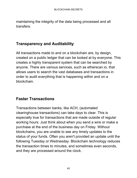maintaining the integrity of the data being processed and all transfers.

#### **Transparency and Auditability**

All transactions made to and on a blockchain are, by design, created on a public ledger that can be looked at by everyone. This creates a highly transparent system that can be searched by anyone. There are various services, such as etherscan.io, that allows users to search the vast databases and transactions in order to audit everything that is happening within and on a blockchain.

#### **Faster Transactions**

Transactions between banks, like ACH, (automated clearinghouse transactions) can take days to clear. This is especially true for transactions that are made outside of regular working hours. Just think about when you send a wire or make a purchase at the end of the business day on Friday. Without blockchains, you are unable to see any timely updates to the status of your funds. Often you aren't provided an update until the following Tuesday or Wednesday. Blockchain technology reduces the transaction times to minutes, and sometimes even seconds, and they are processed around the clock.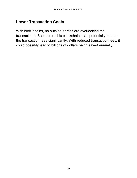#### **Lower Transaction Costs**

With blockchains, no outside parties are overlooking the transactions. Because of this blockchains can potentially reduce the transaction fees significantly. With reduced transaction fees, it could possibly lead to billions of dollars being saved annually.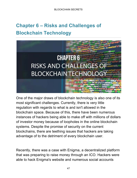# **Chapter 6 – Risks and Challenges of Blockchain Technology**



One of the major draws of blockchain technology is also one of its most significant challenges. Currently, there is very little regulation with regards to what is and isn't allowed in the blockchain space. Because of this, there have been numerous instances of hackers being able to make off with millions of dollars of investor money because of loopholes in the online blockchain systems. Despite the promise of security on the current blockchains, there are teething issues that hackers are taking advantage of to the detriment of every blockchain user.

Recently, there was a case with Enigma, a decentralized platform that was preparing to raise money through an ICO. Hackers were able to hack Enigma's website and numerous social accounts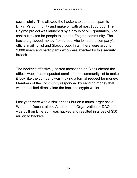successfully. This allowed the hackers to send out spam to Enigma's community and make off with almost \$500,000. The Enigma project was launched by a group of MIT graduates, who sent out invites for people to join the Enigma community. The hackers grabbed money from those who joined the company's official mailing list and Slack group. In all, there were around 9,000 users and participants who were affected by this security breach.

The hacker's effectively posted messages on Slack altered the official website and spoofed emails to the community list to make it look like the company was making a formal request for money. Members of the community responded by sending money that was deposited directly into the hacker's crypto wallet.

Last year there was a similar hack but on a much larger scale. When the Decentralized Autonomous Organization or DAO that was built on Ethereum was hacked and resulted in a loss of \$50 million to hackers.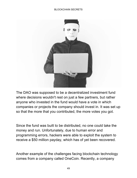#### BLOCKCHAIN SECRETS



The DAO was supposed to be a decentralized investment fund where decisions wouldn't rest on just a few partners, but rather anyone who invested in the fund would have a vote in which companies or projects the company should invest in. It was set up so that the more that you contributed, the more votes you got.

Since the fund was built to be distributed, no one could take the money and run. Unfortunately, due to human error and programming errors, hackers were able to exploit the system to receive a \$50 million payday, which has of yet been recovered.

Another example of the challenges facing blockchain technology comes from a company called OneCoin. Recently, a company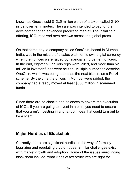known as Gnosis sold \$12..5 million worth of a token called GNO in just over ten minutes. The sale was intended to pay for the development of an advanced prediction market. The initial coin offering, ICO, received rave reviews across the global press.

On that same day, a company called OneCoin, based in Mumbai, India, was in the middle of a sales pitch for its own digital currency when their offices were raided by financial enforcement officers. In the end, eighteen OneCoin reps were jailed, and more than \$2 million in investor funds were seized. Multiple authorities describe OneCoin, which was being touted as the next bitcoin, as a Ponzi scheme. By the time the offices in Mumbai were raided, the company had already moved at least \$350 million in scammed funds.

Since there are no checks and balances to govern the execution of ICOs, if you are going to invest in a coin, you need to ensure that you aren't investing in any random idea that could turn out to be a scam.

#### **Major Hurdles of Blockchain**

Currently, there are significant hurdles in the way of formally legalizing and regulating crypto trades. Similar challenges exist with market growth and adoption. Some of the issues surrounding blockchain include, what kinds of tax structures are right for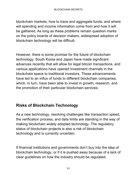blockchain markets, how to trace and aggregate funds, and where will spending and income information come from and how it will be gathered. As long as these problems remain question marks on the policy boards of decision makers, widespread adoption of blockchain technology will be difficult.

However, there is some promise for the future of blockchain technology. South Korea and Japan have made significant advances recently that will allow for legal bitcoin transactions, and various applications have opened investment channels in the blockchain space to traditional investors. These advancements have led to an influx of funds to different blockchain companies, which, in turn, have been able to invest in growth, research, and the promotion of their particular blockchain services.

#### **Risks of Blockchain Technology**

As a new technology, resolving challenges like transaction speed, the verification process, and data limits are standing in the way of making blockchain widely adopted technology. The regulatory status of blockchain projects is also a risk of blockchain technology and is currently uncertain.

If financial institutions and governments don't buy into the idea of blockchain technology, or if it is pushed away because of a lack of clear guidelines on how the industry should be regulated,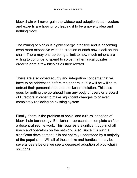blockchain will never gain the widespread adoption that investors and experts are hoping for, leaving it to be a novelty idea and nothing more.

The mining of blocks is highly energy intensive and is becoming even more expensive with the creation of each new block on the chain. There may end up being a limit to how much miners are willing to continue to spend to solve mathematical puzzles in order to earn a few bitcoins as their reward.

There are also cybersecurity and integration concerns that will have to be addressed before the general public will be willing to entrust their personal data to a blockchain solution. This also goes for getting the go-ahead from any body of users or a Board of Directors in order to make significant changes to or even completely replacing an existing system.

Finally, there is the problem of social and cultural adoption of blockchain technology. Blockchain represents a complete shift to a decentralized network. This requires a significant buy-in of all users and operators on the network. Also, since it is such a significant development, it is not entirely understood by a majority of the population. Will all of these risks and hurdles, it may be several years before we see widespread adoption of blockchain solutions.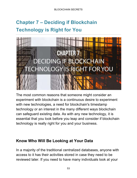# **Chapter 7 – Deciding if Blockchain Technology is Right for You**



The most common reasons that someone might consider an experiment with blockchain is a continuous desire to experiment with new technologies, a need for blockchain's timestamp technology or an interest in the many different ways blockchain can safeguard existing data. As with any new technology, it is essential that you look before you leap and consider if blockchain technology is really right for you and your business.

#### **Know Who Will Be Looking at Your Data**

In a majority of the traditional centralized databases, anyone with access to it has their activities stored in case they need to be reviewed later. If you need to have many individuals look at your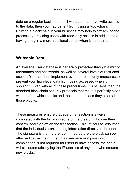data on a regular basis, but don't want them to have write access to the data, then you may benefit from using a blockchain. Utilizing a blockchain in your business may help to streamline the process by providing users with read-only access in addition to a having a log in a more traditional sense when it is required.

#### **Writeable Data**

An average user database is generally protected through a mix of usernames and passwords, as well as several levels of restricted access. You can then implement even more security measures to prevent your high-level data from being accessed when it shouldn't. Even with all of these precautions, it is still less than the standard blockchain security protocols that make it perfectly clear who created which blocks and the time and place they created those blocks.

These measures ensure that every transaction is always completed with the full knowledge of the creator, who can then confirm, and sign off on the transaction. This, of course, assumes that the individuals aren't adding information directly to the node. The signature is then further confirmed before the block can be attached to the chain. Even if a username and password combination is not required for users to have access, the chain will still automatically log the IP address of any user who creates new blocks.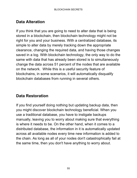#### **Data Alteration**

If you think that you are going to need to alter data that is being stored in a blockchain, then blockchain technology might not be right for you and your business. With a centralized database, its simple to alter data by merely tracking down the appropriate clearance, changing the required data, and having those changes saved in a log. With blockchain technology, the only way to do the same with data that has already been stored is to simultaneously change the data across 51 percent of the nodes that are available on the network. While this is a useful security feature of blockchains, in some scenarios, it will automatically disqualify blockchain databases from running in several others.

#### **Data Restoration**

If you find yourself doing nothing but updating backup data, then you might discover blockchain technology beneficial. When you use a traditional database, you have to instigate backups manually, leaving you to worry about making sure that everything is where it needs to be. On the other hand, when it comes to a distributed database, the information in it is automatically updated across all available nodes every time new information is added to the chain. As long as all of your nodes don't catastrophically fail at the same time, then you don't have anything to worry about.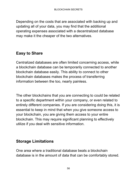Depending on the costs that are associated with backing up and updating all of your data, you may find that the additional operating expenses associated with a decentralized database may make it the cheaper of the two alternatives.

#### **Easy to Share**

Centralized databases are often limited concerning access, while a blockchain database can be temporarily connected to another blockchain database easily. This ability to connect to other blockchain databases makes the process of transferring information between the too, nearly painless.

The other blockchains that you are connecting to could be related to a specific department within your company, or even related to entirely different companies. If you are considering doing this, it is essential to keep in mind that when you give someone access to your blockchain, you are giving them access to your entire blockchain. This may require significant planning to effectively utilize if you deal with sensitive information.

#### **Storage Limitations**

One area where a traditional database beats a blockchain database is in the amount of data that can be comfortably stored.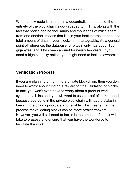When a new node is created in a decentralized database, the entirety of the blockchain is downloaded to it. This, along with the fact that nodes can be thousands and thousands of miles apart from one another, means that it is in your best interest to keep the total amount of data in your blockchain manageable. As a general point of reference, the database for bitcoin only has about 100 gigabytes, and it has been around for nearly ten years. If you need a high capacity option, you might need to look elsewhere.

#### **Verification Process**

If you are planning on running a private blockchain, then you don't need to worry about funding a reward for the validation of blocks. In fact, you won't even have to worry about a proof of work system at all. Instead, you will want to use a proof of stake model, because everyone in the private blockchain will have a stake in keeping the chain up-to-date and reliable. This means that the process for validating blocks can be more straightforward. However, you will still need to factor in the amount of time it will take to process and ensure that you have the workforce to facilitate the work.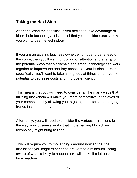#### **Taking the Next Step**

After analyzing the specifics, if you decide to take advantage of blockchain technology, it is crucial that you consider exactly how you plan to use the technology.

If you are an existing business owner, who hope to get ahead of the curve, then you'll want to focus your attention and energy on the potential ways that blockchain and smart technology can work together to improve the ancillary aspects of your business. More specifically, you'll want to take a long look at things that have the potential to decrease costs and improve efficiency.

This means that you will need to consider all the many ways that utilizing blockchain will make you more competitive in the eyes of your competition by allowing you to get a jump start on emerging trends in your industry.

Alternately, you will need to consider the various disruptions to the way your business works that implementing blockchain technology might bring to light.

This will require you to move things around now so that the disruptions you might experience are kept to a minimum. Being aware of what is likely to happen next will make it a lot easier to face head-on.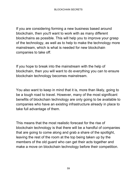If you are considering forming a new business based around blockchain, then you'll want to work with as many different blockchains as possible. This will help you to improve your grasp of the technology, as well as to help to make the technology more mainstream, which is what is needed for new blockchain companies to take off.

If you hope to break into the mainstream with the help of blockchain, then you will want to do everything you can to ensure blockchain technology becomes mainstream.

You also want to keep in mind that it is, more than likely, going to be a tough road to travel. However, many of the most significant benefits of blockchain technology are only going to be available to companies who have an existing infrastructure already in place to take full advantage of them.

This means that the most realistic forecast for the rise of blockchain technology is that there will be a handful of companies that are going to come along and grab a share of the spotlight, leaving the rest of the room at the top being taken up by the members of the old guard who can get their acts together and make a move on blockchain technology before their competition.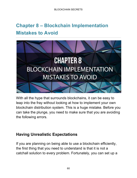## **Chapter 8 – Blockchain Implementation Mistakes to Avoid**



With all the hype that surrounds blockchains, it can be easy to leap into the fray without looking at how to implement your own blockchain distribution system. This is a huge mistake. Before you can take the plunge, you need to make sure that you are avoiding the following errors.

#### **Having Unrealistic Expectations**

If you are planning on being able to use a blockchain efficiently, the first thing that you need to understand is that it is not a catchall solution to every problem. Fortunately, you can set up a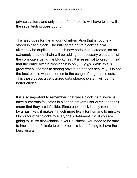private system, and only a handful of people will have to know if the initial testing goes poorly.

This also goes for the amount of information that is routinely stored in each block. The bulk of the entire blockchain will ultimately be duplicated to each new node that is created, so an extremely bloated chain will be adding unnecessary bloat to all of the computers using the blockchain. It is essential to keep in mind that the entire bitcoin blockchain is only 55 gigs. While this is great when it comes to storing private databases securely, it is not the best choice when it comes to the usage of large-scale data. This these cases a centralized data storage system will be the better choice.

It is also important to remember, that while blockchain systems have numerous fail-safes in place to prevent user error, it doesn't mean that they are infallible. Since each block is only referred to by a hash key, it makes it much more likely for humans to mistake blocks for other blocks to everyone's detriment. So, if you are going to utilize blockchains in your business, you need to be sure to implement a failsafe to check for this kind of thing to have the best results.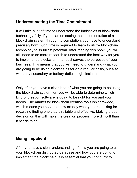## **Underestimating the Time Commitment**

It will take a lot of time to understand the intricacies of blockchain technology fully. If you plan on seeing the implementation of a blockchain system through to completion, you have to understand precisely how much time is required to learn to utilize blockchain technology to its fullest potential. After reading this book, you will still need to do more research to understand the best way for you to implement a blockchain that best serves the purposes of your business. This means that you will need to understand what you are going to be using blockchains for on a regular basis, but also what any secondary or tertiary duties might include.

Only after you have a clear idea of what you are going to be using the blockchain system for, you will be able to determine which kind of creation software is going to be right for you and your needs. The market for blockchain creation tools isn't crowded, which means you need to know exactly what you are looking for regarding finding one that is reliable and effective. Making a poor decision on this will make the creation process more difficult than it needs to be.

#### **Being Impatient**

After you have a clear understanding of how you are going to use your blockchain distributed database and how you are going to implement the blockchain, it is essential that you not hurry to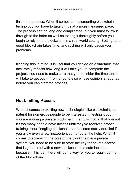finish the process. When it comes to implementing blockchain technology you have to take things at a more measured pace. The process can be long and complicated, but you must follow it through to the letter as well as testing it thoroughly before you begin to rely on the blockchain in a real-world setting. Setting up a good blockchain takes time, and rushing will only cause you problems.

Keeping this in mind, it is vital that you decide on a timetable that accurately reflects how long it will take you to complete the project. You need to make sure that you consider the time that it will take to get buy-in from anyone else whose opinion is required before you can start the process.

## **Not Limiting Access**

When it comes to exciting new technologies like blockchain, it's natural for numerous people to be interested in testing it out. If you are running a private blockchain, then it is crucial that you not let too many people have access until they've received proper training. Your fledgling blockchain can become easily derailed if you allow even a few inexperienced hands at the help. When it comes to accessing the core of the blockchain in a private system, you need to be sure to store the key for private access that is generated with a new blockchain in a safe location, because if it is lost, there will be no way for you to regain control of the blockchain.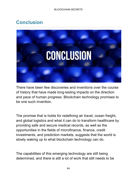## **Conclusion**



There have been few discoveries and inventions over the course of history that have made long-lasting impacts on the direction and pace of human progress. Blockchain technology promises to be one such invention.

The promise that is holds for redefining air travel, ocean freight, and global logistics and what it can do to transform healthcare by providing safe and secure medical records, as well as the opportunities in the fields of microfinance, finance, credit investments, and prediction markets, suggests that the world is slowly waking up to what blockchain technology can do.

The capabilities of this emerging technology are still being determined, and there is still a lot of work that still needs to be